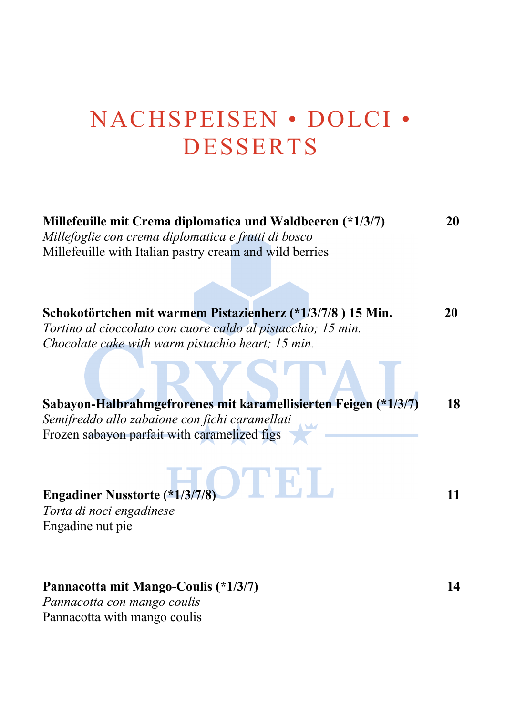# NACHSPEISEN • DOLCI • DESSERTS

| Millefeuille mit Crema diplomatica und Waldbeeren (*1/3/7)<br>Millefoglie con crema diplomatica e frutti di bosco<br>Millefeuille with Italian pastry cream and wild berries |    |
|------------------------------------------------------------------------------------------------------------------------------------------------------------------------------|----|
|                                                                                                                                                                              |    |
| Schokotörtchen mit warmem Pistazienherz (*1/3/7/8) 15 Min.                                                                                                                   | 20 |
| Tortino al cioccolato con cuore caldo al pistacchio; 15 min.                                                                                                                 |    |
| Chocolate cake with warm pistachio heart; 15 min.                                                                                                                            |    |
| Sabayon-Halbrahmgefrorenes mit karamellisierten Feigen (*1/3/7)                                                                                                              | 18 |
| Semifreddo allo zabaione con fichi caramellati<br>Frozen sabayon parfait with caramelized figs                                                                               |    |
| ) і і н. і і<br><b>Engadiner Nusstorte (*1/3/7/8)</b><br>Torta di noci engadinese<br>Engadine nut pie                                                                        | 11 |

#### **Pannacotta mit Mango-Coulis (\*1/3/7) 14**

*Pannacotta con mango coulis* Pannacotta with mango coulis